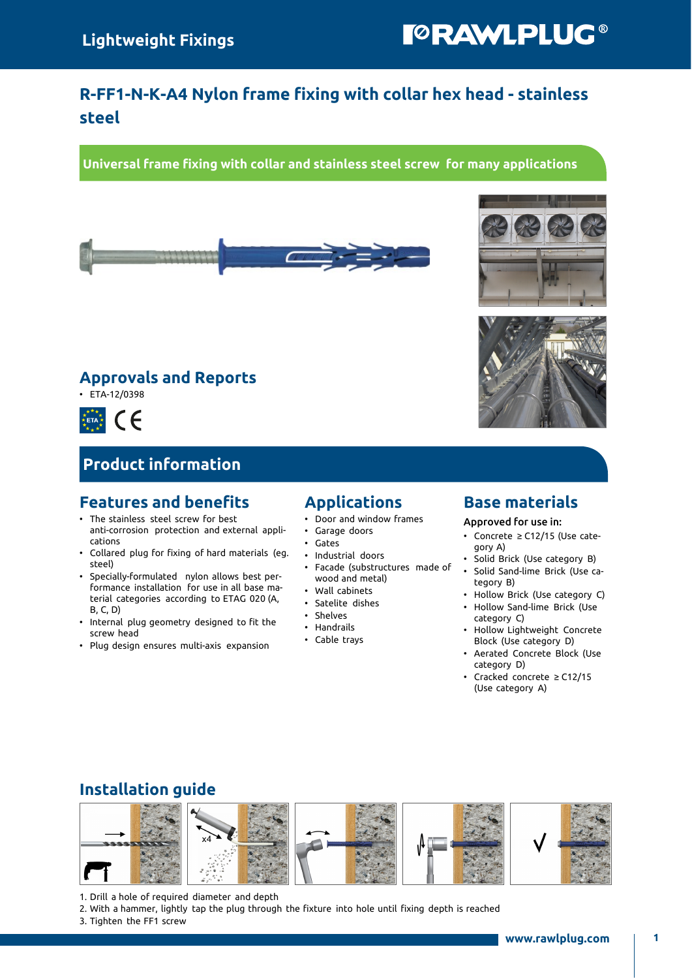# **TORAWLPLUG®**

## R-FF1-N-K-A4 Nylon frame fixing with collar hex head - stainless steel

Universal frame fixing with collar and stainless steel screw for many applications



### Approvals and Reports

• ETA-12/0398



## Product information

#### Features and benefits

- The stainless steel screw for best anti-corrosion protection and external applications
- Collared plug for fixing of hard materials (eg. steel)
- Specially-formulated nylon allows best performance installation for use in all base material categories according to ETAG 020 (A, B, C, D)
- Internal plug geometry designed to fit the screw head
- Plug design ensures multi-axis expansion

#### Applications

- Door and window frames
- Garage doors
- Gates
- Industrial doors
- Facade (substructures made of wood and metal)
- Wall cabinets
- Satelite dishes
- Shelves
- Handrails
- Cable trays

#### Base materials

Approved for use in:

- Concrete ≥ C12/15 (Use category A)
- Solid Brick (Use category B)
- Solid Sand-lime Brick (Use category B)
- Hollow Brick (Use category C)
- Hollow Sand-lime Brick (Use category C)
- Hollow Lightweight Concrete Block (Use category D)
- Aerated Concrete Block (Use category D)
- Cracked concrete ≥ C12/15 (Use category A)

### Installation guide



- 1. Drill a hole of required diameter and depth
- 2. With a hammer, lightly tap the plug through the fixture into hole until fixing depth is reached
- 3. Tighten the FF1 screw



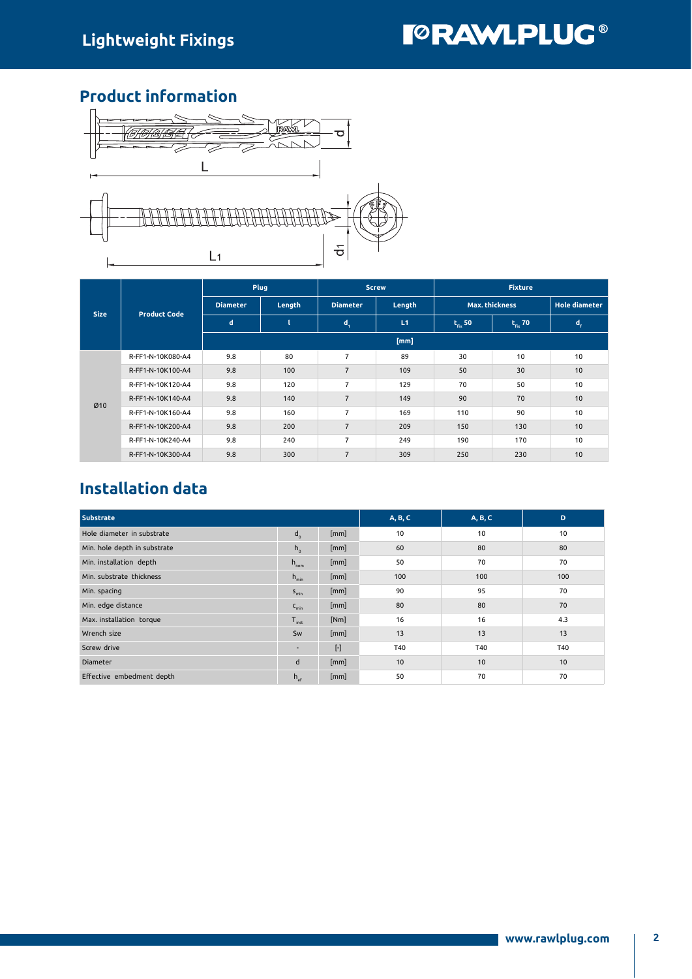### Product information



|             | <b>Product Code</b> |                 | Plug   |                 | <b>Screw</b> | <b>Fixture</b>        |                      |                         |  |  |  |  |
|-------------|---------------------|-----------------|--------|-----------------|--------------|-----------------------|----------------------|-------------------------|--|--|--|--|
| <b>Size</b> |                     | <b>Diameter</b> | Length | <b>Diameter</b> | Length       | <b>Max. thickness</b> | <b>Hole diameter</b> |                         |  |  |  |  |
|             |                     | d               |        | $\mathbf{d}_1$  | L1           | $t_{fix}$ 50          | $t_{fix}$ 70         | $\mathbf{d}_{\epsilon}$ |  |  |  |  |
|             |                     | [mm]            |        |                 |              |                       |                      |                         |  |  |  |  |
|             | R-FF1-N-10K080-A4   | 9.8             | 80     | $\overline{7}$  | 89           | 30                    | 10                   | 10                      |  |  |  |  |
|             | R-FF1-N-10K100-A4   | 9.8             | 100    | $\overline{7}$  | 109          | 50                    | 30                   | 10                      |  |  |  |  |
|             | R-FF1-N-10K120-A4   | 9.8             | 120    | $\overline{7}$  | 129          | 70                    | 50                   | 10                      |  |  |  |  |
| Ø10         | R-FF1-N-10K140-A4   | 9.8             | 140    | $\overline{7}$  | 149          | 90                    | 70                   | 10                      |  |  |  |  |
|             | R-FF1-N-10K160-A4   | 9.8             | 160    | $\overline{7}$  | 169          | 110                   | 90                   | 10                      |  |  |  |  |
|             | R-FF1-N-10K200-A4   | 9.8             | 200    | $\overline{7}$  | 209          | 150                   | 130                  | 10                      |  |  |  |  |
|             | R-FF1-N-10K240-A4   | 9.8             | 240    | $\overline{7}$  | 249          | 190                   | 170                  | 10                      |  |  |  |  |
|             | R-FF1-N-10K300-A4   | 9.8             | 300    | $\overline{7}$  | 309          | 250                   | 230                  | 10                      |  |  |  |  |

## Installation data

| <b>Substrate</b>             | A, B, C          | A, B, C   | D   |     |     |
|------------------------------|------------------|-----------|-----|-----|-----|
| Hole diameter in substrate   | $d_{n}$          | [mm]      | 10  | 10  | 10  |
| Min. hole depth in substrate | $h_{0}$          | [mm]      | 60  | 80  | 80  |
| Min. installation depth      | $h_{\text{nom}}$ | [mm]      | 50  | 70  | 70  |
| Min. substrate thickness     | $h_{min}$        | [mm]      | 100 | 100 | 100 |
| Min. spacing                 | $S_{\text{min}}$ | [mm]      | 90  | 95  | 70  |
| Min. edge distance           | $C_{\text{min}}$ | [mm]      | 80  | 80  | 70  |
| Max. installation torque     | $T_{inst}$       | [Nm]      | 16  | 16  | 4.3 |
| Wrench size                  | Sw               | [mm]      | 13  | 13  | 13  |
| Screw drive                  | ۰.               | $[\cdot]$ | T40 | T40 | T40 |
| Diameter                     | d                | [mm]      | 10  | 10  | 10  |
| Effective embedment depth    | $h_{\alpha}$     | [mm]      | 50  | 70  | 70  |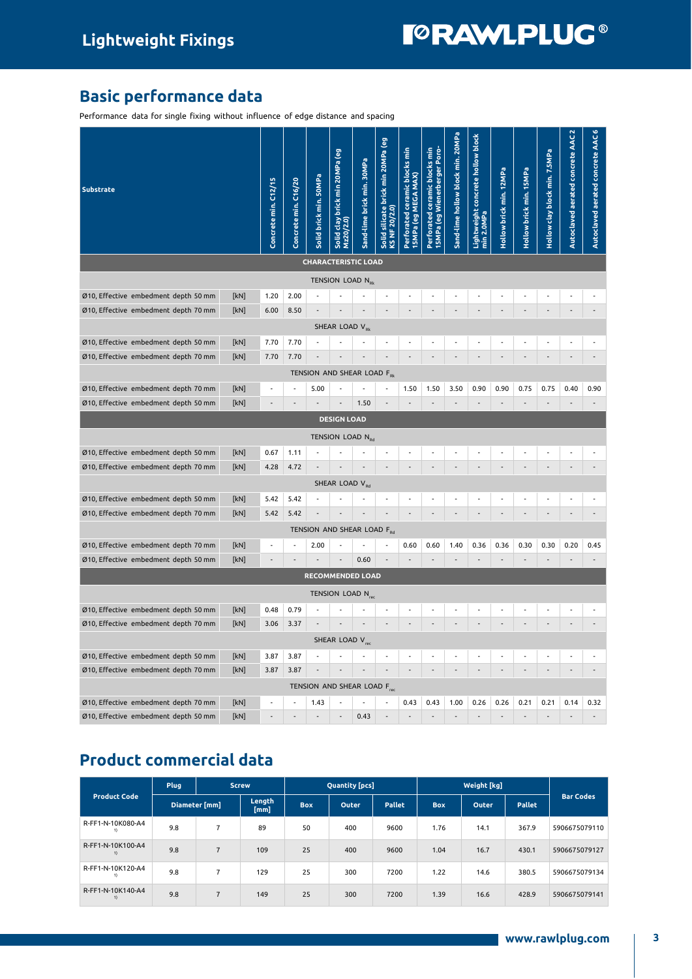# **TORAWLPLUG®**

## Basic performance data

Performance data for single fixing without influence of edge distance and spacing

| <b>Substrate</b>                              | Concrete min. C12/15 | Concrete min. C16/20 | Solid brick min. 50MPa           | Solid clay brick min 20MPa (eg<br>Mz20/2.0) | Sand-lime brick min. 30MPa | Solid silicate brick min 20MPa (eg<br>KS NF 20/2.0) | Perforated ceramic blocks min<br>15MPa (eg MEGA MAX) | Perforated ceramic blocks min<br>15MPa (eg Wienerberger Poro- | Sand-lime hollow block min. 20MPa | Lightweight concrete hollow block<br>min 2.0MPa | Hollow brick min. 12MPa | Hollow brick min. 15MPa | Hollow clay block min. 7.5MPa | Autoclaved aerated concrete AAC 2 | Autoclaved aerated concrete AAC 6 |
|-----------------------------------------------|----------------------|----------------------|----------------------------------|---------------------------------------------|----------------------------|-----------------------------------------------------|------------------------------------------------------|---------------------------------------------------------------|-----------------------------------|-------------------------------------------------|-------------------------|-------------------------|-------------------------------|-----------------------------------|-----------------------------------|
|                                               |                      |                      | <b>CHARACTERISTIC LOAD</b>       |                                             |                            |                                                     |                                                      |                                                               |                                   |                                                 |                         |                         |                               |                                   |                                   |
|                                               |                      |                      |                                  | TENSION LOAD N <sub>RK</sub>                |                            |                                                     |                                                      |                                                               |                                   |                                                 |                         |                         |                               |                                   |                                   |
| Ø10, Effective embedment depth 50 mm<br>[kN]  | 1.20                 | 2.00                 |                                  |                                             |                            |                                                     |                                                      |                                                               |                                   |                                                 |                         |                         |                               |                                   |                                   |
| Ø10, Effective embedment depth 70 mm<br>[kN]  | 6.00                 | 8.50                 |                                  |                                             |                            |                                                     |                                                      |                                                               |                                   |                                                 |                         |                         |                               |                                   |                                   |
|                                               |                      |                      |                                  | SHEAR LOAD V <sub>Rk</sub>                  |                            |                                                     |                                                      |                                                               |                                   |                                                 |                         |                         |                               |                                   |                                   |
| Ø10, Effective embedment depth 50 mm<br>[kN]  | 7.70                 | 7.70                 |                                  |                                             |                            |                                                     |                                                      |                                                               |                                   |                                                 |                         |                         |                               |                                   |                                   |
| Ø10, Effective embedment depth 70 mm<br>[kN]  | 7.70                 | 7.70                 |                                  |                                             |                            |                                                     |                                                      |                                                               |                                   |                                                 |                         |                         |                               |                                   |                                   |
| TENSION AND SHEAR LOAD F <sub>RK</sub>        |                      |                      |                                  |                                             |                            |                                                     |                                                      |                                                               |                                   |                                                 |                         |                         |                               |                                   |                                   |
| Ø10, Effective embedment depth 70 mm<br>[kN]  | Ĭ.                   | J.                   | 5.00                             |                                             |                            |                                                     | 1.50                                                 | 1.50                                                          | 3.50                              | 0.90                                            | 0.90                    | 0.75                    | 0.75                          | 0.40                              | 0.90                              |
| Ø10, Effective embedment depth 50 mm<br>[kN]  |                      |                      |                                  |                                             | 1.50                       |                                                     |                                                      |                                                               |                                   |                                                 |                         |                         |                               |                                   |                                   |
|                                               |                      |                      |                                  | <b>DESIGN LOAD</b>                          |                            |                                                     |                                                      |                                                               |                                   |                                                 |                         |                         |                               |                                   |                                   |
|                                               |                      |                      |                                  | TENSION LOAD N <sub>Rd</sub>                |                            |                                                     |                                                      |                                                               |                                   |                                                 |                         |                         |                               |                                   |                                   |
| Ø10, Effective embedment depth 50 mm<br>[kN]  | 0.67                 | 1.11                 |                                  |                                             | ÷,                         |                                                     |                                                      |                                                               |                                   |                                                 |                         |                         |                               |                                   |                                   |
| Ø10, Effective embedment depth 70 mm<br>[kN]  | 4.28                 | 4.72                 |                                  |                                             |                            |                                                     |                                                      |                                                               |                                   |                                                 |                         |                         |                               |                                   |                                   |
|                                               |                      |                      |                                  | SHEAR LOAD V <sub>Rd</sub>                  |                            |                                                     |                                                      |                                                               |                                   |                                                 |                         |                         |                               |                                   |                                   |
| Ø10, Effective embedment depth 50 mm<br>[kN]  | 5.42                 | 5.42                 |                                  |                                             |                            |                                                     |                                                      |                                                               |                                   |                                                 |                         |                         |                               |                                   |                                   |
| Ø10, Effective embedment depth 70 mm<br>[kN]  | 5.42                 | 5.42                 |                                  |                                             |                            |                                                     |                                                      |                                                               |                                   |                                                 |                         |                         |                               |                                   |                                   |
|                                               |                      |                      | TENSION AND SHEAR LOAD FRd       |                                             |                            |                                                     |                                                      |                                                               |                                   |                                                 |                         |                         |                               |                                   |                                   |
| Ø10, Effective embedment depth 70 mm<br>[kN]  |                      |                      | 2.00                             |                                             |                            |                                                     | 0.60                                                 | 0.60                                                          | 1.40                              | 0.36                                            | 0.36                    | 0.30                    | 0.30                          | 0.20                              | 0.45                              |
| Ø10, Effective embedment depth 50 mm<br>[kN]  |                      |                      |                                  |                                             |                            |                                                     |                                                      |                                                               |                                   |                                                 |                         |                         |                               |                                   |                                   |
|                                               |                      |                      |                                  |                                             | 0.60                       |                                                     |                                                      |                                                               |                                   |                                                 |                         |                         |                               |                                   |                                   |
| TENSION LOAD N <sub>rec</sub>                 |                      |                      |                                  |                                             |                            |                                                     |                                                      |                                                               |                                   |                                                 |                         |                         |                               |                                   |                                   |
| Ø10, Effective embedment depth 50 mm<br>[kN]  |                      |                      | <b>RECOMMENDED LOAD</b>          |                                             |                            |                                                     |                                                      |                                                               |                                   |                                                 |                         |                         |                               |                                   |                                   |
|                                               |                      |                      |                                  |                                             |                            |                                                     |                                                      |                                                               |                                   |                                                 |                         |                         |                               |                                   |                                   |
|                                               | 0.48                 | 0.79<br>3.37         |                                  |                                             |                            |                                                     |                                                      |                                                               |                                   |                                                 |                         |                         |                               |                                   |                                   |
| Ø10, Effective embedment depth 70 mm<br>[kN]  | 3.06                 |                      |                                  |                                             |                            |                                                     |                                                      |                                                               |                                   |                                                 |                         |                         |                               |                                   |                                   |
|                                               |                      |                      |                                  | SHEAR LOAD V <sub>rec</sub>                 |                            |                                                     |                                                      |                                                               |                                   |                                                 |                         |                         |                               |                                   |                                   |
| Ø10, Effective embedment depth 50 mm<br>[kN]  | 3.87                 | 3.87                 |                                  |                                             | $\overline{a}$             |                                                     |                                                      |                                                               |                                   |                                                 |                         |                         |                               |                                   |                                   |
| Ø10, Effective embedment depth 70 mm<br>[kN]  | 3.87                 | 3.87                 |                                  |                                             |                            |                                                     |                                                      |                                                               |                                   |                                                 |                         |                         |                               |                                   |                                   |
| Ø10, Effective  embedment depth 70 mm<br>[kN] |                      |                      | TENSION AND SHEAR LOAD F<br>1.43 |                                             |                            |                                                     | 0.43                                                 | 0.43                                                          | 1.00                              | 0.26                                            | 0.26                    | 0.21                    | 0.21                          | 0.14                              | 0.32                              |

# Product commercial data

|                         | Plug<br><b>Screw</b> |                |                |            | <b>Quantity</b> [pcs]  |      |            |       |               |                  |  |
|-------------------------|----------------------|----------------|----------------|------------|------------------------|------|------------|-------|---------------|------------------|--|
| <b>Product Code</b>     | Diameter [mm]        |                | Length<br>[mm] | <b>Box</b> | <b>Pallet</b><br>Outer |      | <b>Box</b> | Outer | <b>Pallet</b> | <b>Bar Codes</b> |  |
| R-FF1-N-10K080-A4       | 9.8                  | ⇁              | 89             | 50         | 400                    | 9600 | 1.76       | 14.1  | 367.9         | 5906675079110    |  |
| R-FF1-N-10K100-A4<br>1) | 9.8                  | 7              | 109            | 25         | 400                    | 9600 | 1.04       | 16.7  | 430.1         | 5906675079127    |  |
| R-FF1-N-10K120-A4       | 9.8                  | ⇁              | 129            | 25         | 300                    | 7200 | 1.22       | 14.6  | 380.5         | 5906675079134    |  |
| R-FF1-N-10K140-A4       | 9.8                  | $\overline{7}$ | 149            | 25         | 300                    | 7200 | 1.39       | 16.6  | 428.9         | 5906675079141    |  |